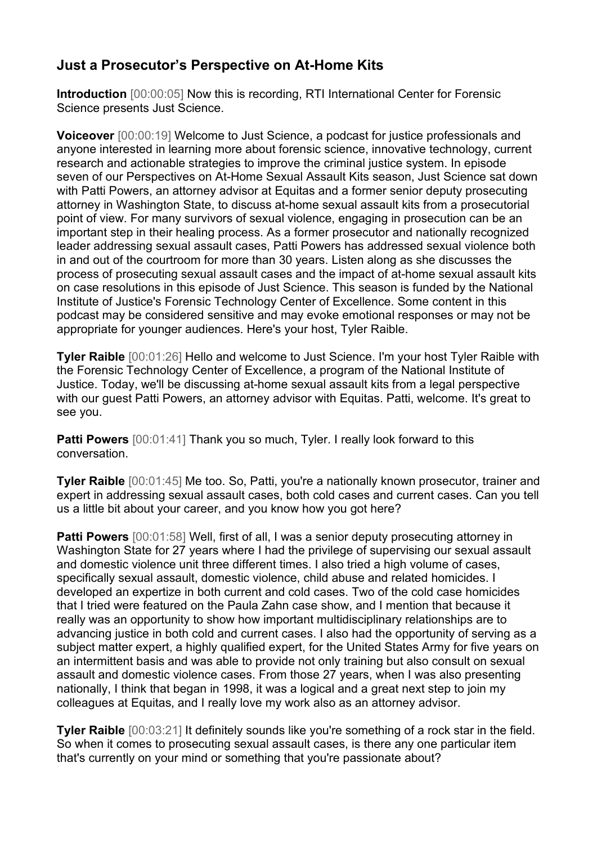## **Just a Prosecutor's Perspective on At-Home Kits**

**Introduction** [00:00:05] Now this is recording, RTI International Center for Forensic Science presents Just Science.

**Voiceover** [00:00:19] Welcome to Just Science, a podcast for justice professionals and anyone interested in learning more about forensic science, innovative technology, current research and actionable strategies to improve the criminal justice system. In episode seven of our Perspectives on At-Home Sexual Assault Kits season, Just Science sat down with Patti Powers, an attorney advisor at Equitas and a former senior deputy prosecuting attorney in Washington State, to discuss at-home sexual assault kits from a prosecutorial point of view. For many survivors of sexual violence, engaging in prosecution can be an important step in their healing process. As a former prosecutor and nationally recognized leader addressing sexual assault cases, Patti Powers has addressed sexual violence both in and out of the courtroom for more than 30 years. Listen along as she discusses the process of prosecuting sexual assault cases and the impact of at-home sexual assault kits on case resolutions in this episode of Just Science. This season is funded by the National Institute of Justice's Forensic Technology Center of Excellence. Some content in this podcast may be considered sensitive and may evoke emotional responses or may not be appropriate for younger audiences. Here's your host, Tyler Raible.

**Tyler Raible** [00:01:26] Hello and welcome to Just Science. I'm your host Tyler Raible with the Forensic Technology Center of Excellence, a program of the National Institute of Justice. Today, we'll be discussing at-home sexual assault kits from a legal perspective with our guest Patti Powers, an attorney advisor with Equitas. Patti, welcome. It's great to see you.

**Patti Powers** [00:01:41] Thank you so much, Tyler. I really look forward to this conversation.

**Tyler Raible** [00:01:45] Me too. So, Patti, you're a nationally known prosecutor, trainer and expert in addressing sexual assault cases, both cold cases and current cases. Can you tell us a little bit about your career, and you know how you got here?

**Patti Powers** [00:01:58] Well, first of all, I was a senior deputy prosecuting attorney in Washington State for 27 years where I had the privilege of supervising our sexual assault and domestic violence unit three different times. I also tried a high volume of cases, specifically sexual assault, domestic violence, child abuse and related homicides. I developed an expertize in both current and cold cases. Two of the cold case homicides that I tried were featured on the Paula Zahn case show, and I mention that because it really was an opportunity to show how important multidisciplinary relationships are to advancing justice in both cold and current cases. I also had the opportunity of serving as a subject matter expert, a highly qualified expert, for the United States Army for five years on an intermittent basis and was able to provide not only training but also consult on sexual assault and domestic violence cases. From those 27 years, when I was also presenting nationally, I think that began in 1998, it was a logical and a great next step to join my colleagues at Equitas, and I really love my work also as an attorney advisor.

**Tyler Raible** [00:03:21] It definitely sounds like you're something of a rock star in the field. So when it comes to prosecuting sexual assault cases, is there any one particular item that's currently on your mind or something that you're passionate about?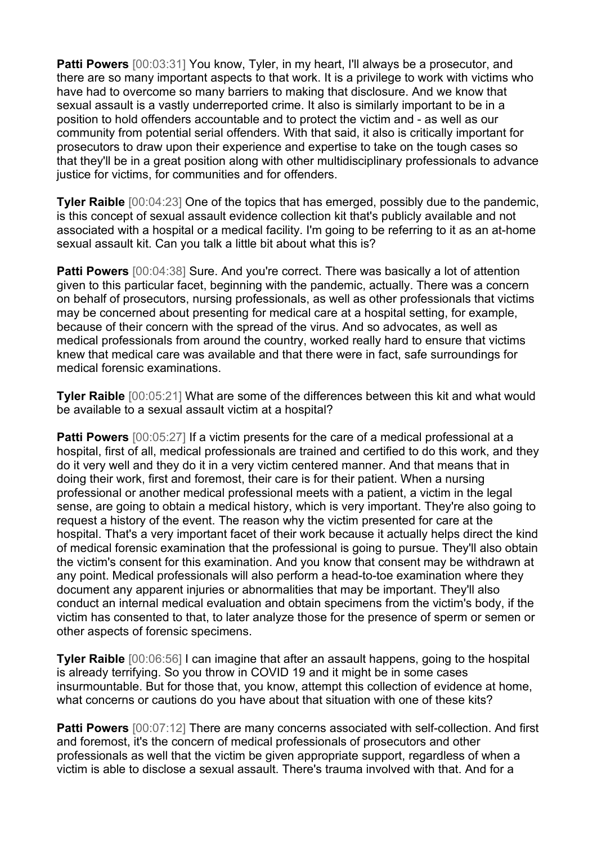**Patti Powers** [00:03:31] You know, Tyler, in my heart, I'll always be a prosecutor, and there are so many important aspects to that work. It is a privilege to work with victims who have had to overcome so many barriers to making that disclosure. And we know that sexual assault is a vastly underreported crime. It also is similarly important to be in a position to hold offenders accountable and to protect the victim and - as well as our community from potential serial offenders. With that said, it also is critically important for prosecutors to draw upon their experience and expertise to take on the tough cases so that they'll be in a great position along with other multidisciplinary professionals to advance justice for victims, for communities and for offenders.

**Tyler Raible** [00:04:23] One of the topics that has emerged, possibly due to the pandemic, is this concept of sexual assault evidence collection kit that's publicly available and not associated with a hospital or a medical facility. I'm going to be referring to it as an at-home sexual assault kit. Can you talk a little bit about what this is?

**Patti Powers** [00:04:38] Sure. And you're correct. There was basically a lot of attention given to this particular facet, beginning with the pandemic, actually. There was a concern on behalf of prosecutors, nursing professionals, as well as other professionals that victims may be concerned about presenting for medical care at a hospital setting, for example, because of their concern with the spread of the virus. And so advocates, as well as medical professionals from around the country, worked really hard to ensure that victims knew that medical care was available and that there were in fact, safe surroundings for medical forensic examinations.

**Tyler Raible** [00:05:21] What are some of the differences between this kit and what would be available to a sexual assault victim at a hospital?

**Patti Powers** [00:05:27] If a victim presents for the care of a medical professional at a hospital, first of all, medical professionals are trained and certified to do this work, and they do it very well and they do it in a very victim centered manner. And that means that in doing their work, first and foremost, their care is for their patient. When a nursing professional or another medical professional meets with a patient, a victim in the legal sense, are going to obtain a medical history, which is very important. They're also going to request a history of the event. The reason why the victim presented for care at the hospital. That's a very important facet of their work because it actually helps direct the kind of medical forensic examination that the professional is going to pursue. They'll also obtain the victim's consent for this examination. And you know that consent may be withdrawn at any point. Medical professionals will also perform a head-to-toe examination where they document any apparent injuries or abnormalities that may be important. They'll also conduct an internal medical evaluation and obtain specimens from the victim's body, if the victim has consented to that, to later analyze those for the presence of sperm or semen or other aspects of forensic specimens.

**Tyler Raible** [00:06:56] I can imagine that after an assault happens, going to the hospital is already terrifying. So you throw in COVID 19 and it might be in some cases insurmountable. But for those that, you know, attempt this collection of evidence at home, what concerns or cautions do you have about that situation with one of these kits?

**Patti Powers** [00:07:12] There are many concerns associated with self-collection. And first and foremost, it's the concern of medical professionals of prosecutors and other professionals as well that the victim be given appropriate support, regardless of when a victim is able to disclose a sexual assault. There's trauma involved with that. And for a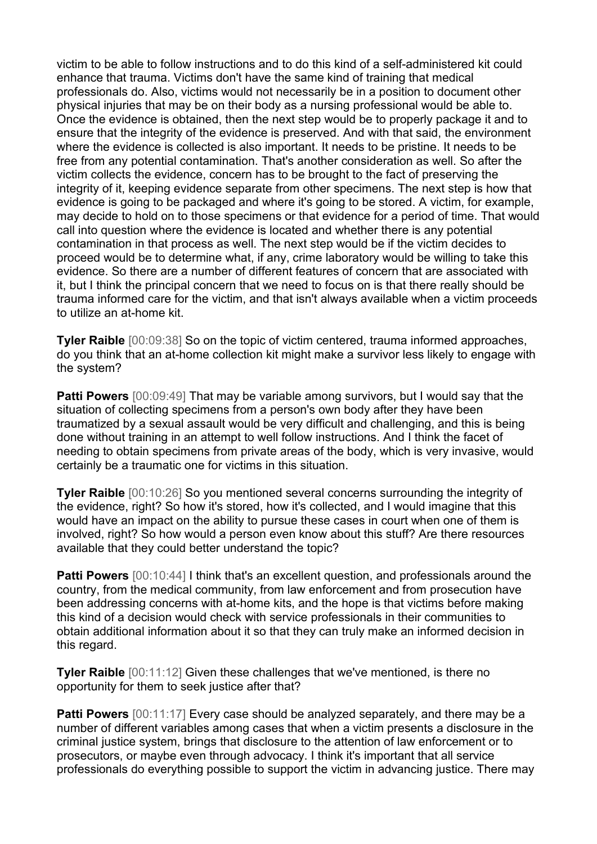victim to be able to follow instructions and to do this kind of a self-administered kit could enhance that trauma. Victims don't have the same kind of training that medical professionals do. Also, victims would not necessarily be in a position to document other physical injuries that may be on their body as a nursing professional would be able to. Once the evidence is obtained, then the next step would be to properly package it and to ensure that the integrity of the evidence is preserved. And with that said, the environment where the evidence is collected is also important. It needs to be pristine. It needs to be free from any potential contamination. That's another consideration as well. So after the victim collects the evidence, concern has to be brought to the fact of preserving the integrity of it, keeping evidence separate from other specimens. The next step is how that evidence is going to be packaged and where it's going to be stored. A victim, for example, may decide to hold on to those specimens or that evidence for a period of time. That would call into question where the evidence is located and whether there is any potential contamination in that process as well. The next step would be if the victim decides to proceed would be to determine what, if any, crime laboratory would be willing to take this evidence. So there are a number of different features of concern that are associated with it, but I think the principal concern that we need to focus on is that there really should be trauma informed care for the victim, and that isn't always available when a victim proceeds to utilize an at-home kit.

**Tyler Raible** [00:09:38] So on the topic of victim centered, trauma informed approaches, do you think that an at-home collection kit might make a survivor less likely to engage with the system?

**Patti Powers** [00:09:49] That may be variable among survivors, but I would say that the situation of collecting specimens from a person's own body after they have been traumatized by a sexual assault would be very difficult and challenging, and this is being done without training in an attempt to well follow instructions. And I think the facet of needing to obtain specimens from private areas of the body, which is very invasive, would certainly be a traumatic one for victims in this situation.

**Tyler Raible** [00:10:26] So you mentioned several concerns surrounding the integrity of the evidence, right? So how it's stored, how it's collected, and I would imagine that this would have an impact on the ability to pursue these cases in court when one of them is involved, right? So how would a person even know about this stuff? Are there resources available that they could better understand the topic?

**Patti Powers** [00:10:44] I think that's an excellent question, and professionals around the country, from the medical community, from law enforcement and from prosecution have been addressing concerns with at-home kits, and the hope is that victims before making this kind of a decision would check with service professionals in their communities to obtain additional information about it so that they can truly make an informed decision in this regard.

**Tyler Raible** [00:11:12] Given these challenges that we've mentioned, is there no opportunity for them to seek justice after that?

**Patti Powers** [00:11:17] Every case should be analyzed separately, and there may be a number of different variables among cases that when a victim presents a disclosure in the criminal justice system, brings that disclosure to the attention of law enforcement or to prosecutors, or maybe even through advocacy. I think it's important that all service professionals do everything possible to support the victim in advancing justice. There may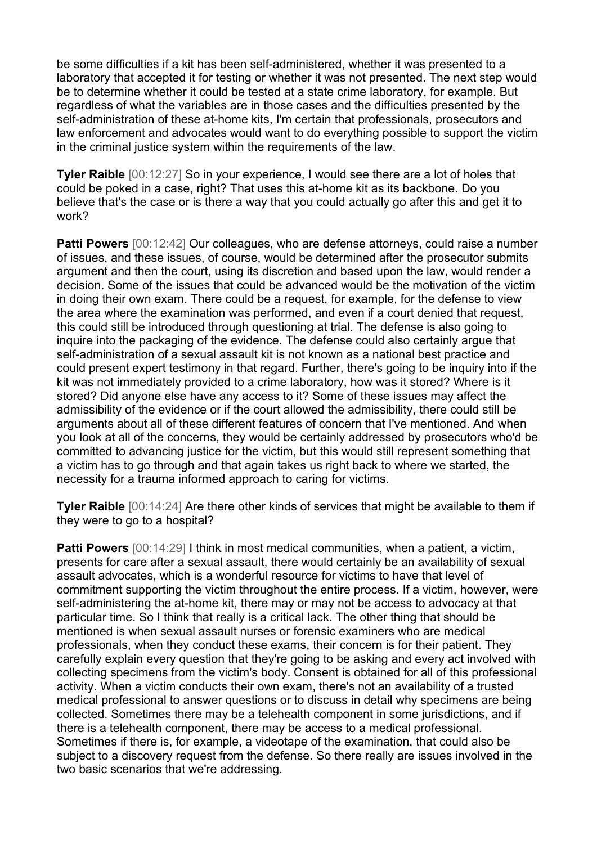be some difficulties if a kit has been self-administered, whether it was presented to a laboratory that accepted it for testing or whether it was not presented. The next step would be to determine whether it could be tested at a state crime laboratory, for example. But regardless of what the variables are in those cases and the difficulties presented by the self-administration of these at-home kits, I'm certain that professionals, prosecutors and law enforcement and advocates would want to do everything possible to support the victim in the criminal justice system within the requirements of the law.

**Tyler Raible** [00:12:27] So in your experience, I would see there are a lot of holes that could be poked in a case, right? That uses this at-home kit as its backbone. Do you believe that's the case or is there a way that you could actually go after this and get it to work?

**Patti Powers** [00:12:42] Our colleagues, who are defense attorneys, could raise a number of issues, and these issues, of course, would be determined after the prosecutor submits argument and then the court, using its discretion and based upon the law, would render a decision. Some of the issues that could be advanced would be the motivation of the victim in doing their own exam. There could be a request, for example, for the defense to view the area where the examination was performed, and even if a court denied that request, this could still be introduced through questioning at trial. The defense is also going to inquire into the packaging of the evidence. The defense could also certainly argue that self-administration of a sexual assault kit is not known as a national best practice and could present expert testimony in that regard. Further, there's going to be inquiry into if the kit was not immediately provided to a crime laboratory, how was it stored? Where is it stored? Did anyone else have any access to it? Some of these issues may affect the admissibility of the evidence or if the court allowed the admissibility, there could still be arguments about all of these different features of concern that I've mentioned. And when you look at all of the concerns, they would be certainly addressed by prosecutors who'd be committed to advancing justice for the victim, but this would still represent something that a victim has to go through and that again takes us right back to where we started, the necessity for a trauma informed approach to caring for victims.

**Tyler Raible** [00:14:24] Are there other kinds of services that might be available to them if they were to go to a hospital?

**Patti Powers** [00:14:29] I think in most medical communities, when a patient, a victim, presents for care after a sexual assault, there would certainly be an availability of sexual assault advocates, which is a wonderful resource for victims to have that level of commitment supporting the victim throughout the entire process. If a victim, however, were self-administering the at-home kit, there may or may not be access to advocacy at that particular time. So I think that really is a critical lack. The other thing that should be mentioned is when sexual assault nurses or forensic examiners who are medical professionals, when they conduct these exams, their concern is for their patient. They carefully explain every question that they're going to be asking and every act involved with collecting specimens from the victim's body. Consent is obtained for all of this professional activity. When a victim conducts their own exam, there's not an availability of a trusted medical professional to answer questions or to discuss in detail why specimens are being collected. Sometimes there may be a telehealth component in some jurisdictions, and if there is a telehealth component, there may be access to a medical professional. Sometimes if there is, for example, a videotape of the examination, that could also be subject to a discovery request from the defense. So there really are issues involved in the two basic scenarios that we're addressing.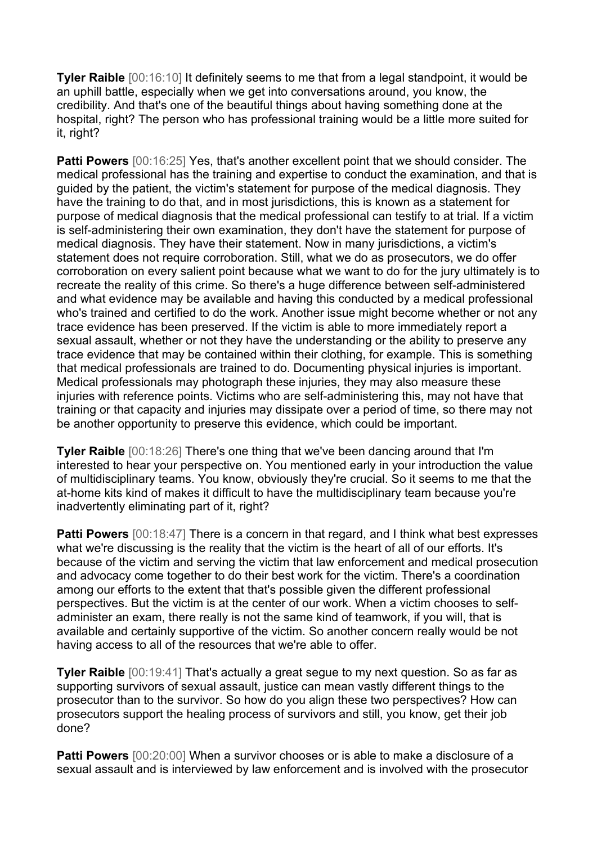**Tyler Raible** [00:16:10] It definitely seems to me that from a legal standpoint, it would be an uphill battle, especially when we get into conversations around, you know, the credibility. And that's one of the beautiful things about having something done at the hospital, right? The person who has professional training would be a little more suited for it, right?

**Patti Powers** [00:16:25] Yes, that's another excellent point that we should consider. The medical professional has the training and expertise to conduct the examination, and that is guided by the patient, the victim's statement for purpose of the medical diagnosis. They have the training to do that, and in most jurisdictions, this is known as a statement for purpose of medical diagnosis that the medical professional can testify to at trial. If a victim is self-administering their own examination, they don't have the statement for purpose of medical diagnosis. They have their statement. Now in many jurisdictions, a victim's statement does not require corroboration. Still, what we do as prosecutors, we do offer corroboration on every salient point because what we want to do for the jury ultimately is to recreate the reality of this crime. So there's a huge difference between self-administered and what evidence may be available and having this conducted by a medical professional who's trained and certified to do the work. Another issue might become whether or not any trace evidence has been preserved. If the victim is able to more immediately report a sexual assault, whether or not they have the understanding or the ability to preserve any trace evidence that may be contained within their clothing, for example. This is something that medical professionals are trained to do. Documenting physical injuries is important. Medical professionals may photograph these injuries, they may also measure these injuries with reference points. Victims who are self-administering this, may not have that training or that capacity and injuries may dissipate over a period of time, so there may not be another opportunity to preserve this evidence, which could be important.

**Tyler Raible** [00:18:26] There's one thing that we've been dancing around that I'm interested to hear your perspective on. You mentioned early in your introduction the value of multidisciplinary teams. You know, obviously they're crucial. So it seems to me that the at-home kits kind of makes it difficult to have the multidisciplinary team because you're inadvertently eliminating part of it, right?

**Patti Powers** [00:18:47] There is a concern in that regard, and I think what best expresses what we're discussing is the reality that the victim is the heart of all of our efforts. It's because of the victim and serving the victim that law enforcement and medical prosecution and advocacy come together to do their best work for the victim. There's a coordination among our efforts to the extent that that's possible given the different professional perspectives. But the victim is at the center of our work. When a victim chooses to selfadminister an exam, there really is not the same kind of teamwork, if you will, that is available and certainly supportive of the victim. So another concern really would be not having access to all of the resources that we're able to offer.

**Tyler Raible** [00:19:41] That's actually a great segue to my next question. So as far as supporting survivors of sexual assault, justice can mean vastly different things to the prosecutor than to the survivor. So how do you align these two perspectives? How can prosecutors support the healing process of survivors and still, you know, get their job done?

**Patti Powers** [00:20:00] When a survivor chooses or is able to make a disclosure of a sexual assault and is interviewed by law enforcement and is involved with the prosecutor